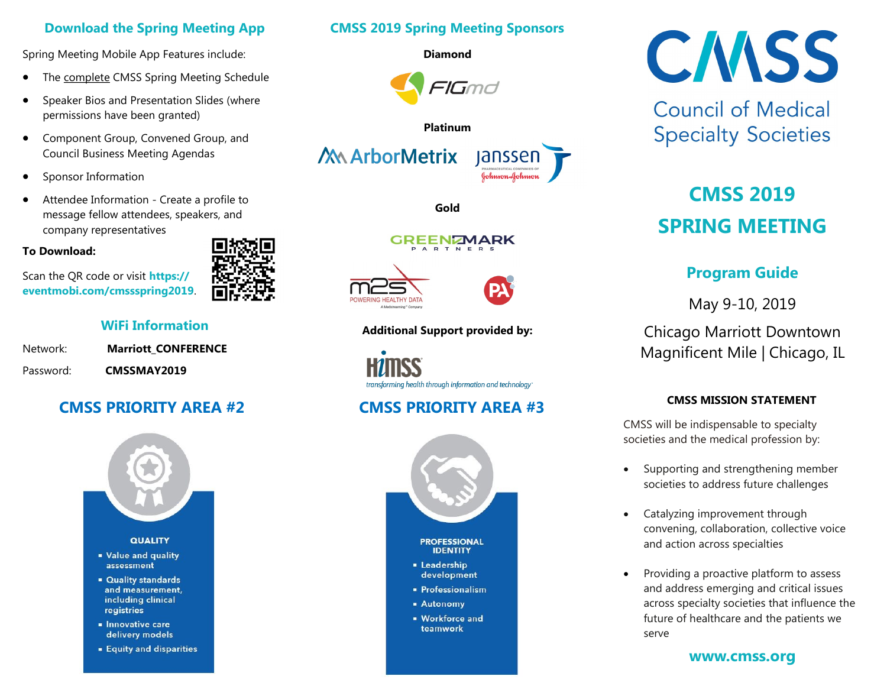# **Download the Spring Meeting App**

Spring Meeting Mobile App Features include:

- The **complete CMSS Spring Meeting Schedule**
- Speaker Bios and Presentation Slides (where permissions have been granted)
- Component Group, Convened Group, and Council Business Meeting Agendas
- Sponsor Information
- Attendee Information Create a profile to message fellow attendees, speakers, and company representatives

# **To Download:**

Scan the QR code or visit **https:// eventmobi.com/cmssspring2019**.

# **WiFi Information**

| Network:  | <b>Marriott CONFERENCE</b> |
|-----------|----------------------------|
| Password: | CMSSMAY2019                |

# **CMSS PRIORITY AREA #2 CMSS PRIORITY AREA #3**



# **CMSS 2019 Spring Meeting Sponsors**

**Diamond**



## **Platinum**

**Gold**



# **Additional Support provided by:**

transforming health through information and technology"



# **CMSS**

**Council of Medical Specialty Societies** 

# **CMSS 2019 SPRING MEETING**

# **Program Guide**

May 9-10, 2019

Chicago Marriott Downtown Magnificent Mile | Chicago, IL

# **CMSS MISSION STATEMENT**

CMSS will be indispensable to specialty societies and the medical profession by:

- Supporting and strengthening member societies to address future challenges
- Catalyzing improvement through convening, collaboration, collective voice and action across specialties
- Providing a proactive platform to assess and address emerging and critical issues across specialty societies that influence the future of healthcare and the patients we serve

# **www.cmss.org**